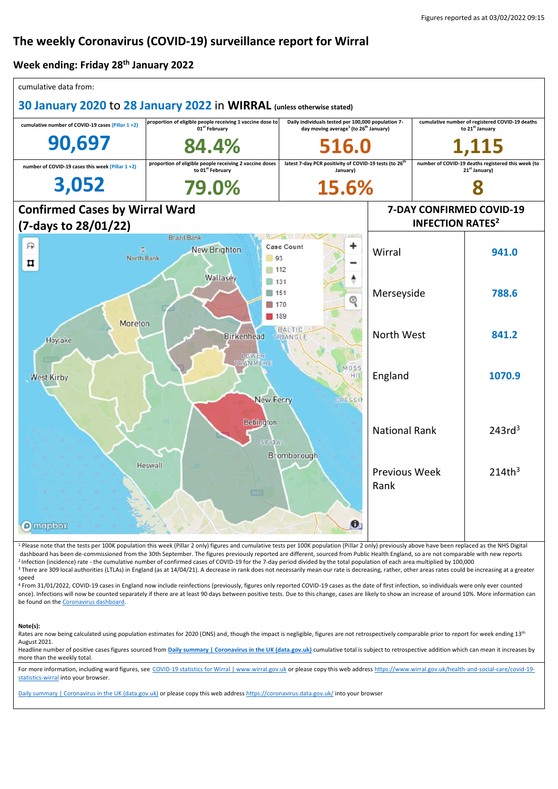# **The weekly Coronavirus (COVID-19) surveillance report for Wirral**

#### **Week ending: Friday 28th January 2022**

| cumulative data from:                                                  |                                                                                         |                                                                                |                                                                                                                     |   |                                                                                |  |
|------------------------------------------------------------------------|-----------------------------------------------------------------------------------------|--------------------------------------------------------------------------------|---------------------------------------------------------------------------------------------------------------------|---|--------------------------------------------------------------------------------|--|
| 30 January 2020 to 28 January 2022 in WIRRAL (unless otherwise stated) |                                                                                         |                                                                                |                                                                                                                     |   |                                                                                |  |
| cumulative number of COVID-19 cases (Pillar 1+2)                       | proportion of eligible people receiving 1 vaccine dose to<br>01 <sup>st</sup> February  |                                                                                | Daily individuals tested per 100,000 population 7-<br>day moving average <sup>1</sup> (to 26 <sup>th</sup> January) |   | cumulative number of registered COVID-19 deaths<br>to 21 <sup>st</sup> January |  |
| 90,697                                                                 | 84.4%                                                                                   | 516.0                                                                          |                                                                                                                     |   | .15                                                                            |  |
| number of COVID-19 cases this week (Pillar 1+2)                        | proportion of eligible people receiving 2 vaccine doses<br>to 01 <sup>st</sup> February | latest 7-day PCR positivity of COVID-19 tests (to 26 <sup>th</sup><br>January) | number of COVID-19 deaths registered this week (to<br>21 <sup>st</sup> January)                                     |   |                                                                                |  |
| 3,052                                                                  | 79.0%                                                                                   | 15.6%                                                                          |                                                                                                                     | 8 |                                                                                |  |
| <b>Confirmed Cases by Wirral Ward</b>                                  |                                                                                         |                                                                                | 7-DAY CONFIRMED COVID-19                                                                                            |   |                                                                                |  |
| (7-days to 28/01/22)                                                   |                                                                                         |                                                                                | <b>INFECTION RATES<sup>2</sup></b>                                                                                  |   |                                                                                |  |
| 曱<br>£<br>North Bank<br>¤                                              | <b>Brazil Bank</b><br>New Brighton<br>93<br>112                                         | Case Count                                                                     | Wirral                                                                                                              |   | 941.0                                                                          |  |
| Wallasey<br>131<br>151<br>Q<br>170<br>  189                            |                                                                                         |                                                                                | Merseyside                                                                                                          |   | 788.6                                                                          |  |
| Moreton<br>Hoylake                                                     | Birkenhead<br>LOWER<br>IRANMERE                                                         | BALTIC<br>TRIANGLE                                                             | North West                                                                                                          |   | 841.2                                                                          |  |
| <b>West Kirby</b>                                                      | <b>New Ferry</b>                                                                        | MOSS<br>НIJ<br><b>CRESSIN</b>                                                  | England                                                                                                             |   | 1070.9                                                                         |  |
|                                                                        | Bebington<br>SPITAL                                                                     | Bromborough                                                                    | <b>National Rank</b>                                                                                                |   | 243rd <sup>3</sup>                                                             |  |
| <b>O</b> mapbox                                                        | Heswall<br>西田                                                                           | $\bullet$                                                                      | <b>Previous Week</b><br>Rank                                                                                        |   | 214th <sup>3</sup>                                                             |  |
|                                                                        |                                                                                         |                                                                                |                                                                                                                     |   |                                                                                |  |

<sup>1</sup> Please note that the tests per 100K population this week (Pillar 2 only) figures and cumulative tests per 100K population (Pillar 2 only) previously above have been replaced as the NHS Digital dashboard has been de-commissioned from the 30th September. The figures previously reported are different, sourced from Public Health England, so are not comparable with new reports <sup>2</sup> Infection (incidence) rate - the cumulative number of confirmed cases of COVID-19 for the 7-day period divided by the total population of each area multiplied by 100,000 <sup>3</sup> There are 309 local authorities (LTLAs) in England (as at 14/04/21). A decrease in rank does not necessarily mean our rate is decreasing, rather, other areas rates could be increasing at a greater speed

<sup>4</sup> From 31/01/2022, COVID-19 cases in England now include reinfections (previously, figures only reported COVID-19 cases as the date of first infection, so individuals were only ever counted once). Infections will now be counted separately if there are at least 90 days between positive tests. Due to this change, cases are likely to show an increase of around 10%. More information can be found on the [Coronavirus dashboard.](https://coronavirus.data.gov.uk/details/whats-new/record/af008739-ffa3-47b8-8efc-ef109f2cfbdd)

#### **Note(s):**

Rates are now being calculated using population estimates for 2020 (ONS) and, though the impact is negligible, figures are not retrospectively comparable prior to report for week ending  $13<sup>th</sup>$ August 2021.

Headline number of positive cases figures sourced from **[Daily summary | Coronavirus in the UK \(data.gov.uk\)](https://coronavirus.data.gov.uk/)** cumulative total is subject to retrospective addition which can mean it increases by more than the weekly total.

For more information, including ward figures, see [COVID-19 statistics for Wirral | www.wirral.gov.uk](https://www.wirral.gov.uk/health-and-social-care/covid-19-statistics-wirral) or please copy this web addres[s https://www.wirral.gov.uk/health-and-social-care/covid-19](https://www.wirral.gov.uk/health-and-social-care/covid-19-statistics-wirral) [statistics-wirral](https://www.wirral.gov.uk/health-and-social-care/covid-19-statistics-wirral) into your browser.

[Daily summary | Coronavirus in the UK \(data.gov.uk\)](https://coronavirus.data.gov.uk/) or please copy this web addres[s https://coronavirus.data.gov.uk/](https://coronavirus.data.gov.uk/) into your browser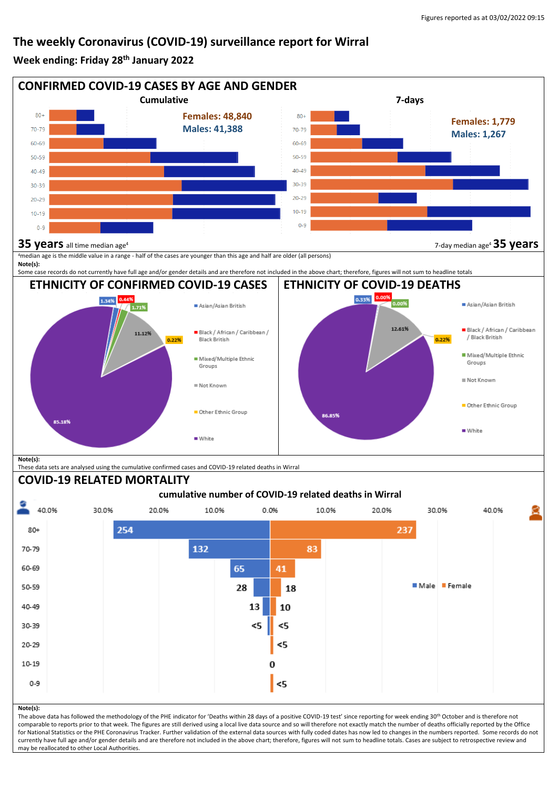## **The weekly Coronavirus (COVID-19) surveillance report for Wirral**

#### **Week ending: Friday 28th January 2022**